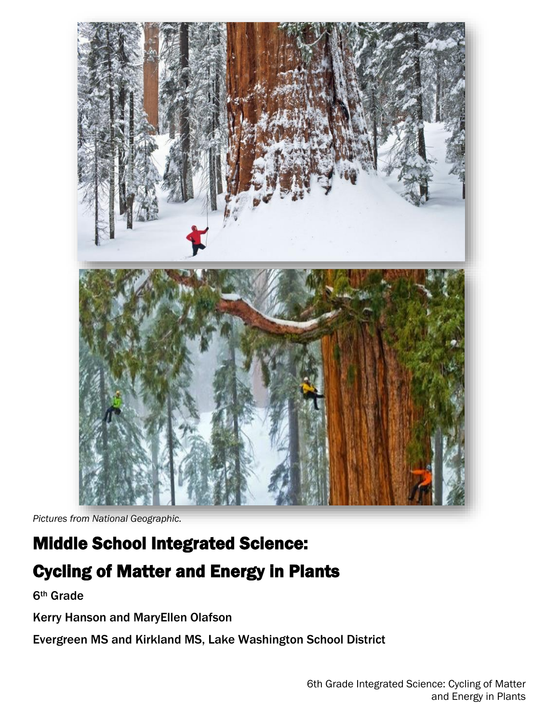

*Pictures from National Geographic.*

# Middle School Integrated Science: Cycling of Matter and Energy in Plants

6th Grade

Kerry Hanson and MaryEllen Olafson

Evergreen MS and Kirkland MS, Lake Washington School District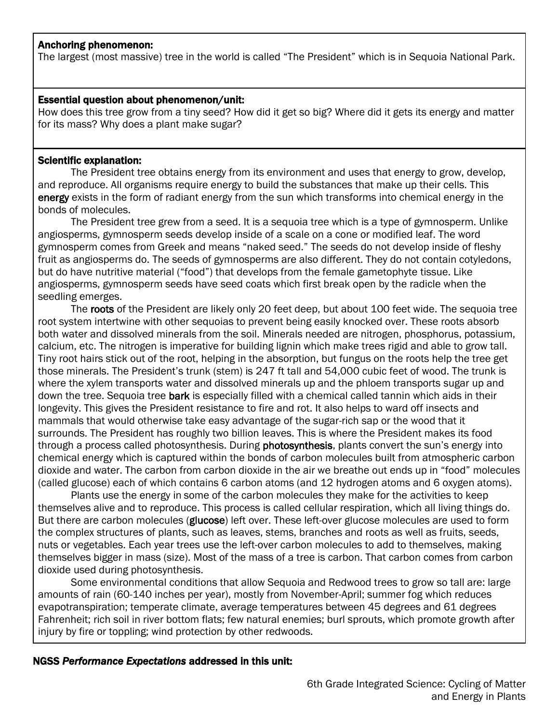#### Anchoring phenomenon:

The largest (most massive) tree in the world is called "The President" which is in Sequoia National Park.

#### Essential question about phenomenon/unit:

How does this tree grow from a tiny seed? How did it get so big? Where did it gets its energy and matter for its mass? Why does a plant make sugar?

#### Scientific explanation:

The President tree obtains energy from its environment and uses that energy to grow, develop, and reproduce. All organisms require energy to build the substances that make up their cells. This energy exists in the form of radiant energy from the sun which transforms into chemical energy in the bonds of molecules.

The President tree grew from a seed. It is a sequoia tree which is a type of gymnosperm. Unlike angiosperms, gymnosperm seeds develop inside of a scale on a cone or modified leaf. The word gymnosperm comes from Greek and means "naked seed." The seeds do not develop inside of fleshy fruit as angiosperms do. The seeds of gymnosperms are also different. They do not contain cotyledons, but do have nutritive material ("food") that develops from the female gametophyte tissue. Like angiosperms, gymnosperm seeds have seed coats which first break open by the radicle when the seedling emerges.

The roots of the President are likely only 20 feet deep, but about 100 feet wide. The sequoia tree root system intertwine with other sequoias to prevent being easily knocked over. These roots absorb both water and dissolved minerals from the soil. Minerals needed are nitrogen, phosphorus, potassium, calcium, etc. The nitrogen is imperative for building lignin which make trees rigid and able to grow tall. Tiny root hairs stick out of the root, helping in the absorption, but fungus on the roots help the tree get those minerals. The President's trunk (stem) is 247 ft tall and 54,000 cubic feet of wood. The trunk is where the xylem transports water and dissolved minerals up and the phloem transports sugar up and down the tree. Sequoia tree bark is especially filled with a chemical called tannin which aids in their longevity. This gives the President resistance to fire and rot. It also helps to ward off insects and mammals that would otherwise take easy advantage of the sugar-rich sap or the wood that it surrounds. The President has roughly two billion leaves. This is where the President makes its food through a process called photosynthesis. During photosynthesis, plants convert the sun's energy into chemical energy which is captured within the bonds of carbon molecules built from atmospheric carbon dioxide and water. The carbon from carbon dioxide in the air we breathe out ends up in "food" molecules (called glucose) each of which contains 6 carbon atoms (and 12 hydrogen atoms and 6 oxygen atoms).

Plants use the energy in some of the carbon molecules they make for the activities to keep themselves alive and to reproduce. This process is called cellular respiration, which all living things do. But there are carbon molecules (glucose) left over. These left-over glucose molecules are used to form the complex structures of plants, such as leaves, stems, branches and roots as well as fruits, seeds, nuts or vegetables. Each year trees use the left-over carbon molecules to add to themselves, making themselves bigger in mass (size). Most of the mass of a tree is carbon. That carbon comes from carbon dioxide used during photosynthesis.

Some environmental conditions that allow Sequoia and Redwood trees to grow so tall are: large amounts of rain (60-140 inches per year), mostly from November-April; summer fog which reduces evapotranspiration; temperate climate, average temperatures between 45 degrees and 61 degrees Fahrenheit; rich soil in river bottom flats; few natural enemies; burl sprouts, which promote growth after injury by fire or toppling; wind protection by other redwoods.

### NGSS *Performance Expectations* addressed in this unit: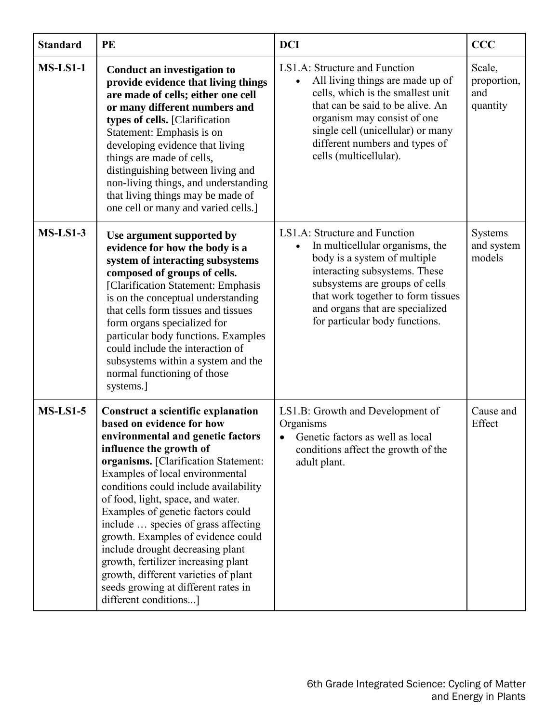| <b>Standard</b> | PE                                                                                                                                                                                                                                                                                                                                                                                                                                                                                                                                                                                                   | <b>DCI</b>                                                                                                                                                                                                                                                                     | <b>CCC</b>                               |
|-----------------|------------------------------------------------------------------------------------------------------------------------------------------------------------------------------------------------------------------------------------------------------------------------------------------------------------------------------------------------------------------------------------------------------------------------------------------------------------------------------------------------------------------------------------------------------------------------------------------------------|--------------------------------------------------------------------------------------------------------------------------------------------------------------------------------------------------------------------------------------------------------------------------------|------------------------------------------|
| $MS-LS1-1$      | Conduct an investigation to<br>provide evidence that living things<br>are made of cells; either one cell<br>or many different numbers and<br>types of cells. [Clarification<br>Statement: Emphasis is on<br>developing evidence that living<br>things are made of cells,<br>distinguishing between living and<br>non-living things, and understanding<br>that living things may be made of<br>one cell or many and varied cells.]                                                                                                                                                                    | LS1.A: Structure and Function<br>All living things are made up of<br>cells, which is the smallest unit<br>that can be said to be alive. An<br>organism may consist of one<br>single cell (unicellular) or many<br>different numbers and types of<br>cells (multicellular).     | Scale,<br>proportion,<br>and<br>quantity |
| $MS-LS1-3$      | Use argument supported by<br>evidence for how the body is a<br>system of interacting subsystems<br>composed of groups of cells.<br>[Clarification Statement: Emphasis<br>is on the conceptual understanding<br>that cells form tissues and tissues<br>form organs specialized for<br>particular body functions. Examples<br>could include the interaction of<br>subsystems within a system and the<br>normal functioning of those<br>systems.]                                                                                                                                                       | LS1.A: Structure and Function<br>In multicellular organisms, the<br>body is a system of multiple<br>interacting subsystems. These<br>subsystems are groups of cells<br>that work together to form tissues<br>and organs that are specialized<br>for particular body functions. | Systems<br>and system<br>models          |
| $MS-LS1-5$      | <b>Construct a scientific explanation</b><br>based on evidence for how<br>environmental and genetic factors<br>influence the growth of<br>organisms. [Clarification Statement:<br>Examples of local environmental<br>conditions could include availability<br>of food, light, space, and water.<br>Examples of genetic factors could<br>include  species of grass affecting<br>growth. Examples of evidence could<br>include drought decreasing plant<br>growth, fertilizer increasing plant<br>growth, different varieties of plant<br>seeds growing at different rates in<br>different conditions] | LS1.B: Growth and Development of<br>Organisms<br>Genetic factors as well as local<br>conditions affect the growth of the<br>adult plant.                                                                                                                                       | Cause and<br>Effect                      |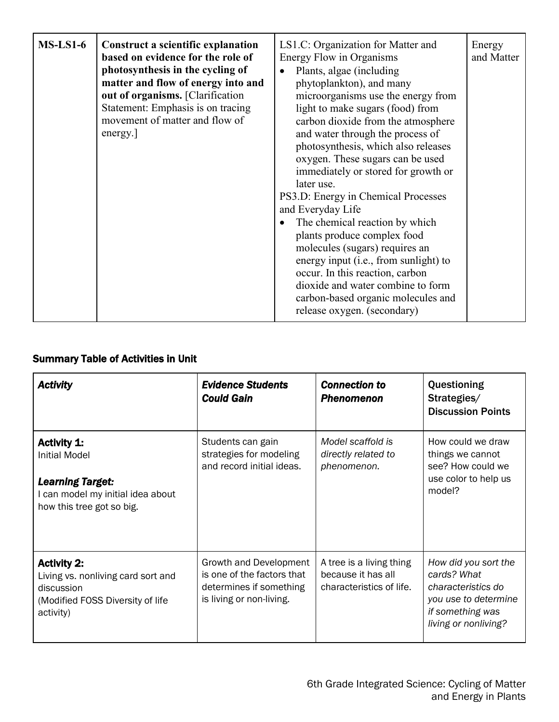| $MS-LS1-6$ | <b>Construct a scientific explanation</b><br>based on evidence for the role of<br>photosynthesis in the cycling of<br>matter and flow of energy into and<br>out of organisms. [Clarification<br>Statement: Emphasis is on tracing<br>movement of matter and flow of<br>energy. | LS1.C: Organization for Matter and<br>Energy Flow in Organisms<br>Plants, algae (including<br>$\bullet$<br>phytoplankton), and many<br>microorganisms use the energy from<br>light to make sugars (food) from<br>carbon dioxide from the atmosphere<br>and water through the process of<br>photosynthesis, which also releases<br>oxygen. These sugars can be used<br>immediately or stored for growth or<br>later use.<br>PS3.D: Energy in Chemical Processes<br>and Everyday Life<br>The chemical reaction by which<br>$\bullet$<br>plants produce complex food<br>molecules (sugars) requires an<br>energy input (i.e., from sunlight) to<br>occur. In this reaction, carbon<br>dioxide and water combine to form<br>carbon-based organic molecules and<br>release oxygen. (secondary) | Energy<br>and Matter |
|------------|--------------------------------------------------------------------------------------------------------------------------------------------------------------------------------------------------------------------------------------------------------------------------------|-------------------------------------------------------------------------------------------------------------------------------------------------------------------------------------------------------------------------------------------------------------------------------------------------------------------------------------------------------------------------------------------------------------------------------------------------------------------------------------------------------------------------------------------------------------------------------------------------------------------------------------------------------------------------------------------------------------------------------------------------------------------------------------------|----------------------|
|------------|--------------------------------------------------------------------------------------------------------------------------------------------------------------------------------------------------------------------------------------------------------------------------------|-------------------------------------------------------------------------------------------------------------------------------------------------------------------------------------------------------------------------------------------------------------------------------------------------------------------------------------------------------------------------------------------------------------------------------------------------------------------------------------------------------------------------------------------------------------------------------------------------------------------------------------------------------------------------------------------------------------------------------------------------------------------------------------------|----------------------|

# Summary Table of Activities in Unit

| <b>Activity</b>                                                                                                                  | <b>Evidence Students</b><br><b>Could Gain</b>                                                               | <b>Connection to</b><br><b>Phenomenon</b>                                  | Questioning<br>Strategies/<br><b>Discussion Points</b>                                                                        |
|----------------------------------------------------------------------------------------------------------------------------------|-------------------------------------------------------------------------------------------------------------|----------------------------------------------------------------------------|-------------------------------------------------------------------------------------------------------------------------------|
| <b>Activity 1:</b><br>Initial Model<br><b>Learning Target:</b><br>I can model my initial idea about<br>how this tree got so big. | Students can gain<br>strategies for modeling<br>and record initial ideas.                                   | Model scaffold is<br>directly related to<br>phenomenon.                    | How could we draw<br>things we cannot<br>see? How could we<br>use color to help us<br>model?                                  |
| <b>Activity 2:</b><br>Living vs. nonliving card sort and<br>discussion<br>(Modified FOSS Diversity of life<br>activity)          | Growth and Development<br>is one of the factors that<br>determines if something<br>is living or non-living. | A tree is a living thing<br>because it has all<br>characteristics of life. | How did you sort the<br>cards? What<br>characteristics do<br>you use to determine<br>if something was<br>living or nonliving? |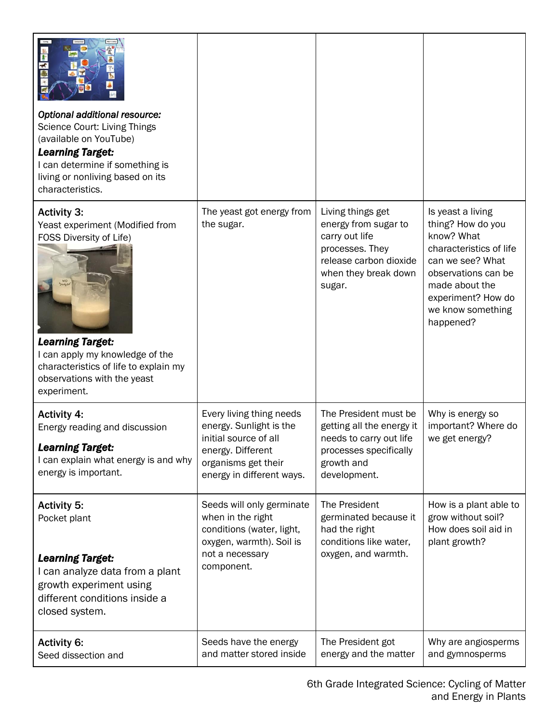| Optional additional resource:<br>Science Court: Living Things<br>(available on YouTube)<br><b>Learning Target:</b><br>I can determine if something is<br>living or nonliving based on its<br>characteristics.                                       |                                                                                                                                                       |                                                                                                                                            |                                                                                                                                                                                                      |
|-----------------------------------------------------------------------------------------------------------------------------------------------------------------------------------------------------------------------------------------------------|-------------------------------------------------------------------------------------------------------------------------------------------------------|--------------------------------------------------------------------------------------------------------------------------------------------|------------------------------------------------------------------------------------------------------------------------------------------------------------------------------------------------------|
| <b>Activity 3:</b><br>Yeast experiment (Modified from<br>FOSS Diversity of Life)<br><b>UAO</b><br><b>Learning Target:</b><br>I can apply my knowledge of the<br>characteristics of life to explain my<br>observations with the yeast<br>experiment. | The yeast got energy from<br>the sugar.                                                                                                               | Living things get<br>energy from sugar to<br>carry out life<br>processes. They<br>release carbon dioxide<br>when they break down<br>sugar. | Is yeast a living<br>thing? How do you<br>know? What<br>characteristics of life<br>can we see? What<br>observations can be<br>made about the<br>experiment? How do<br>we know something<br>happened? |
| <b>Activity 4:</b><br>Energy reading and discussion<br><b>Learning Target:</b><br>I can explain what energy is and why<br>energy is important.                                                                                                      | Every living thing needs<br>energy. Sunlight is the<br>initial source of all<br>energy. Different<br>organisms get their<br>energy in different ways. | The President must be<br>getting all the energy it<br>needs to carry out life<br>processes specifically<br>growth and<br>development.      | Why is energy so<br>important? Where do<br>we get energy?                                                                                                                                            |
| <b>Activity 5:</b><br>Pocket plant<br><b>Learning Target:</b><br>I can analyze data from a plant<br>growth experiment using<br>different conditions inside a<br>closed system.                                                                      | Seeds will only germinate<br>when in the right<br>conditions (water, light,<br>oxygen, warmth). Soil is<br>not a necessary<br>component.              | The President<br>germinated because it<br>had the right<br>conditions like water,<br>oxygen, and warmth.                                   | How is a plant able to<br>grow without soil?<br>How does soil aid in<br>plant growth?                                                                                                                |
| <b>Activity 6:</b><br>Seed dissection and                                                                                                                                                                                                           | Seeds have the energy<br>and matter stored inside                                                                                                     | The President got<br>energy and the matter                                                                                                 | Why are angiosperms<br>and gymnosperms                                                                                                                                                               |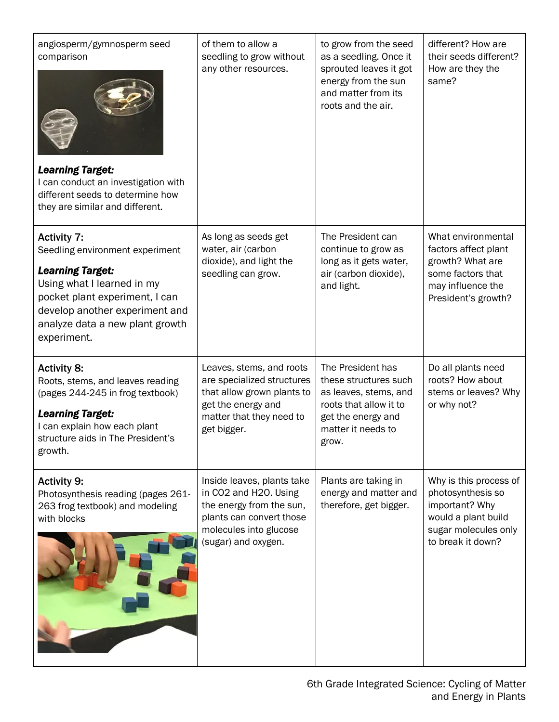| angiosperm/gymnosperm seed<br>comparison<br><b>Learning Target:</b><br>I can conduct an investigation with<br>different seeds to determine how<br>they are similar and different.                                                    | of them to allow a<br>seedling to grow without<br>any other resources.                                                                                       | to grow from the seed<br>as a seedling. Once it<br>sprouted leaves it got<br>energy from the sun<br>and matter from its<br>roots and the air.      | different? How are<br>their seeds different?<br>How are they the<br>same?                                                         |
|--------------------------------------------------------------------------------------------------------------------------------------------------------------------------------------------------------------------------------------|--------------------------------------------------------------------------------------------------------------------------------------------------------------|----------------------------------------------------------------------------------------------------------------------------------------------------|-----------------------------------------------------------------------------------------------------------------------------------|
| <b>Activity 7:</b><br>Seedling environment experiment<br><b>Learning Target:</b><br>Using what I learned in my<br>pocket plant experiment, I can<br>develop another experiment and<br>analyze data a new plant growth<br>experiment. | As long as seeds get<br>water, air (carbon<br>dioxide), and light the<br>seedling can grow.                                                                  | The President can<br>continue to grow as<br>long as it gets water,<br>air (carbon dioxide),<br>and light.                                          | What environmental<br>factors affect plant<br>growth? What are<br>some factors that<br>may influence the<br>President's growth?   |
| <b>Activity 8:</b><br>Roots, stems, and leaves reading<br>(pages 244-245 in frog textbook)<br><b>Learning Target:</b><br>I can explain how each plant<br>structure aids in The President's<br>growth.                                | Leaves, stems, and roots<br>are specialized structures<br>that allow grown plants to<br>get the energy and<br>matter that they need to<br>get bigger.        | The President has<br>these structures such<br>as leaves, stems, and<br>roots that allow it to<br>get the energy and<br>matter it needs to<br>grow. | Do all plants need<br>roots? How about<br>stems or leaves? Why<br>or why not?                                                     |
| <b>Activity 9:</b><br>Photosynthesis reading (pages 261-<br>263 frog textbook) and modeling<br>with blocks                                                                                                                           | Inside leaves, plants take<br>in CO2 and H2O. Using<br>the energy from the sun,<br>plants can convert those<br>molecules into glucose<br>(sugar) and oxygen. | Plants are taking in<br>energy and matter and<br>therefore, get bigger.                                                                            | Why is this process of<br>photosynthesis so<br>important? Why<br>would a plant build<br>sugar molecules only<br>to break it down? |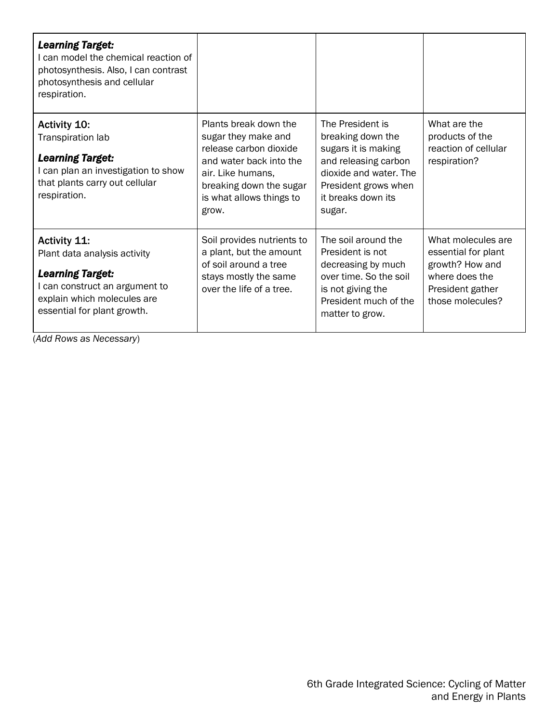| <b>Learning Target:</b><br>I can model the chemical reaction of<br>photosynthesis. Also, I can contrast<br>photosynthesis and cellular<br>respiration.                         |                                                                                                                                                                                        |                                                                                                                                                                        |                                                                                                                        |
|--------------------------------------------------------------------------------------------------------------------------------------------------------------------------------|----------------------------------------------------------------------------------------------------------------------------------------------------------------------------------------|------------------------------------------------------------------------------------------------------------------------------------------------------------------------|------------------------------------------------------------------------------------------------------------------------|
| <b>Activity 10:</b><br>Transpiration lab<br><b>Learning Target:</b><br>I can plan an investigation to show<br>that plants carry out cellular<br>respiration.                   | Plants break down the<br>sugar they make and<br>release carbon dioxide<br>and water back into the<br>air. Like humans,<br>breaking down the sugar<br>is what allows things to<br>grow. | The President is<br>breaking down the<br>sugars it is making<br>and releasing carbon<br>dioxide and water. The<br>President grows when<br>it breaks down its<br>sugar. | What are the<br>products of the<br>reaction of cellular<br>respiration?                                                |
| <b>Activity 11:</b><br>Plant data analysis activity<br><b>Learning Target:</b><br>I can construct an argument to<br>explain which molecules are<br>essential for plant growth. | Soil provides nutrients to<br>a plant, but the amount<br>of soil around a tree<br>stays mostly the same<br>over the life of a tree.                                                    | The soil around the<br>President is not<br>decreasing by much<br>over time. So the soil<br>is not giving the<br>President much of the<br>matter to grow.               | What molecules are<br>essential for plant<br>growth? How and<br>where does the<br>President gather<br>those molecules? |

(*Add Rows as Necessary*)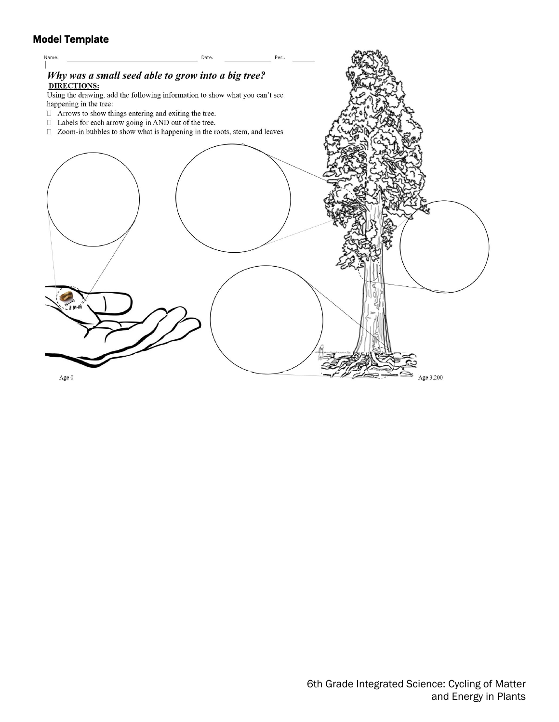# Model Template